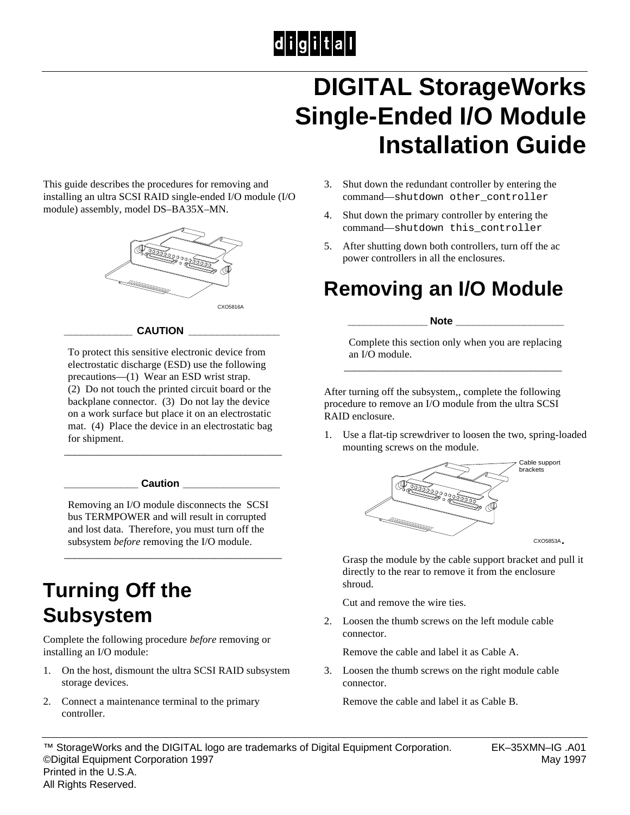# $|d|i|g|i|t|a|l|$

## **DIGITAL StorageWorks Single-Ended I/O Module Installation Guide**

This guide describes the procedures for removing and installing an ultra SCSI RAID single-ended I/O module (I/O module) assembly, model DS–BA35X–MN.



#### **\_\_\_\_\_\_\_\_\_\_\_\_ CAUTION \_\_\_\_\_\_\_\_\_\_\_\_\_\_\_\_**

To protect this sensitive electronic device from electrostatic discharge (ESD) use the following precautions—(1) Wear an ESD wrist strap. (2) Do not touch the printed circuit board or the backplane connector. (3) Do not lay the device on a work surface but place it on an electrostatic mat. (4) Place the device in an electrostatic bag for shipment.

\_\_\_\_\_\_\_\_\_\_\_\_\_\_\_\_\_\_\_\_\_\_\_\_\_\_\_\_\_\_\_\_\_\_\_\_\_\_\_\_\_\_

#### **\_\_\_\_\_\_\_\_\_\_\_\_\_ Caution \_\_\_\_\_\_\_\_\_\_\_\_\_\_\_\_\_**

Removing an I/O module disconnects the SCSI bus TERMPOWER and will result in corrupted and lost data. Therefore, you must turn off the subsystem *before* removing the I/O module.

\_\_\_\_\_\_\_\_\_\_\_\_\_\_\_\_\_\_\_\_\_\_\_\_\_\_\_\_\_\_\_\_\_\_\_\_\_\_\_\_\_\_

### **Turning Off the Subsystem**

Complete the following procedure *before* removing or installing an I/O module:

- 1. On the host, dismount the ultra SCSI RAID subsystem storage devices.
- 2. Connect a maintenance terminal to the primary controller.
- 3. Shut down the redundant controller by entering the command—shutdown other\_controller
- 4. Shut down the primary controller by entering the command—shutdown this\_controller
- 5. After shutting down both controllers, turn off the ac power controllers in all the enclosures.

### **Removing an I/O Module**

#### **\_\_\_\_\_\_\_\_\_\_\_\_\_\_ Note \_\_\_\_\_\_\_\_\_\_\_\_\_\_\_\_\_\_\_**

Complete this section only when you are replacing an I/O module. \_\_\_\_\_\_\_\_\_\_\_\_\_\_\_\_\_\_\_\_\_\_\_\_\_\_\_\_\_\_\_\_\_\_\_\_\_\_\_\_\_\_

After turning off the subsystem,, complete the following procedure to remove an I/O module from the ultra SCSI RAID enclosure.

1. Use a flat-tip screwdriver to loosen the two, spring-loaded mounting screws on the module.



 Grasp the module by the cable support bracket and pull it directly to the rear to remove it from the enclosure shroud.

Cut and remove the wire ties.

2. Loosen the thumb screws on the left module cable connector.

Remove the cable and label it as Cable A.

3. Loosen the thumb screws on the right module cable connector.

Remove the cable and label it as Cable B.